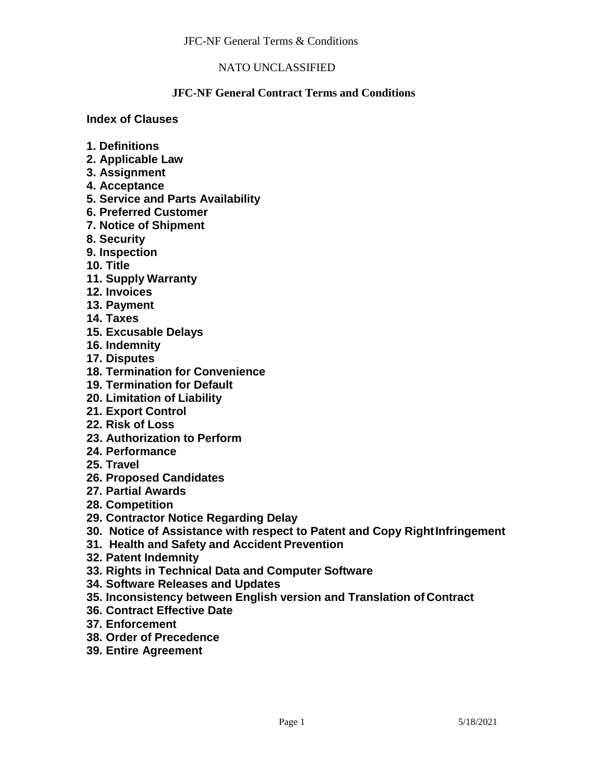### **JFC-NF General Contract Terms and Conditions**

#### **Index of Clauses**

- **1. Definitions**
- **2. Applicable Law**
- **3. Assignment**
- **4. Acceptance**
- **5. Service and Parts Availability**
- **6. Preferred Customer**
- **7. Notice of Shipment**
- **8. Security**
- **9. Inspection**
- **10. Title**
- **11. Supply Warranty**
- **12. Invoices**
- **13. Payment**
- **14. Taxes**
- **15. Excusable Delays**
- **16. Indemnity**
- **17. Disputes**
- **18. Termination for Convenience**
- **19. Termination for Default**
- **20. Limitation of Liability**
- **21. Export Control**
- **22. Risk of Loss**
- **23. Authorization to Perform**
- **24. Performance**
- **25. Travel**
- **26. Proposed Candidates**
- **27. Partial Awards**
- **28. Competition**
- **29. Contractor Notice Regarding Delay**
- **30. Notice of Assistance with respect to Patent and Copy RightInfringement**
- **31. Health and Safety and Accident Prevention**
- **32. Patent Indemnity**
- **33. Rights in Technical Data and Computer Software**
- **34. Software Releases and Updates**
- **35. Inconsistency between English version and Translation of Contract**
- **36. Contract Effective Date**
- **37. Enforcement**
- **38. Order of Precedence**
- **39. Entire Agreement**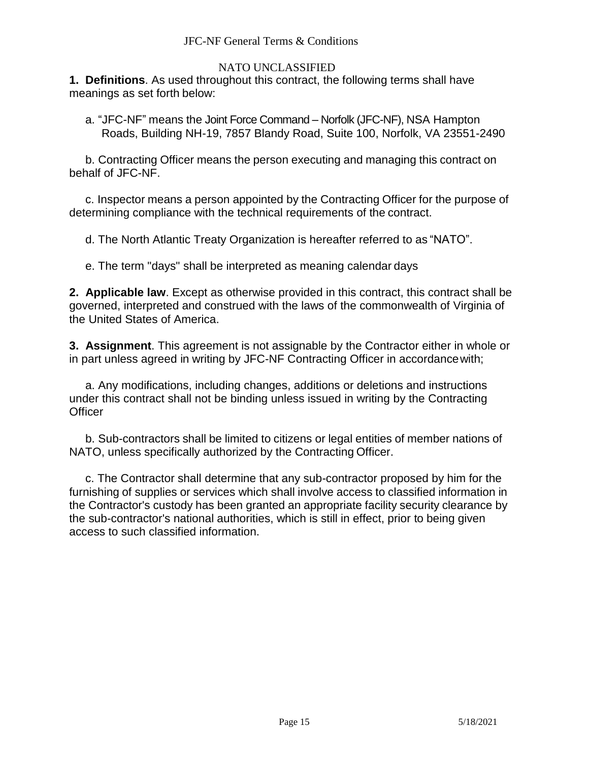### NATO UNCLASSIFIED

**1. Definitions**. As used throughout this contract, the following terms shall have meanings as set forth below:

a. "JFC-NF" means the Joint Force Command – Norfolk (JFC-NF), NSA Hampton Roads, Building NH-19, 7857 Blandy Road, Suite 100, Norfolk, VA 23551-2490

b. Contracting Officer means the person executing and managing this contract on behalf of JFC-NF.

c. Inspector means a person appointed by the Contracting Officer for the purpose of determining compliance with the technical requirements of the contract.

d. The North Atlantic Treaty Organization is hereafter referred to as "NATO".

e. The term "days" shall be interpreted as meaning calendar days

**2. Applicable law**. Except as otherwise provided in this contract, this contract shall be governed, interpreted and construed with the laws of the commonwealth of Virginia of the United States of America.

**3. Assignment**. This agreement is not assignable by the Contractor either in whole or in part unless agreed in writing by JFC-NF Contracting Officer in accordancewith;

a. Any modifications, including changes, additions or deletions and instructions under this contract shall not be binding unless issued in writing by the Contracting **Officer** 

b. Sub-contractors shall be limited to citizens or legal entities of member nations of NATO, unless specifically authorized by the Contracting Officer.

c. The Contractor shall determine that any sub-contractor proposed by him for the furnishing of supplies or services which shall involve access to classified information in the Contractor's custody has been granted an appropriate facility security clearance by the sub-contractor's national authorities, which is still in effect, prior to being given access to such classified information.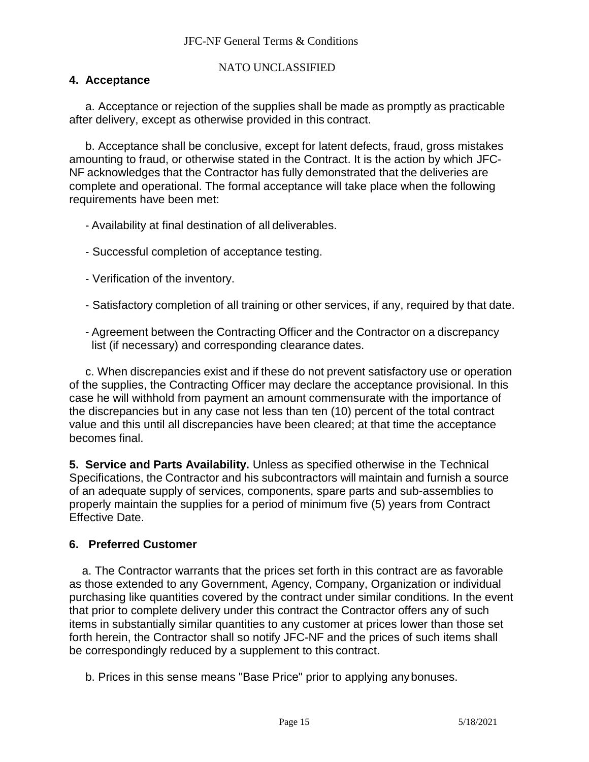# **4. Acceptance**

a. Acceptance or rejection of the supplies shall be made as promptly as practicable after delivery, except as otherwise provided in this contract.

b. Acceptance shall be conclusive, except for latent defects, fraud, gross mistakes amounting to fraud, or otherwise stated in the Contract. It is the action by which JFC-NF acknowledges that the Contractor has fully demonstrated that the deliveries are complete and operational. The formal acceptance will take place when the following requirements have been met:

- Availability at final destination of all deliverables.
- Successful completion of acceptance testing.
- Verification of the inventory.
- Satisfactory completion of all training or other services, if any, required by that date.
- Agreement between the Contracting Officer and the Contractor on a discrepancy list (if necessary) and corresponding clearance dates.

c. When discrepancies exist and if these do not prevent satisfactory use or operation of the supplies, the Contracting Officer may declare the acceptance provisional. In this case he will withhold from payment an amount commensurate with the importance of the discrepancies but in any case not less than ten (10) percent of the total contract value and this until all discrepancies have been cleared; at that time the acceptance becomes final.

**5. Service and Parts Availability.** Unless as specified otherwise in the Technical Specifications, the Contractor and his subcontractors will maintain and furnish a source of an adequate supply of services, components, spare parts and sub-assemblies to properly maintain the supplies for a period of minimum five (5) years from Contract Effective Date.

# **6. Preferred Customer**

a. The Contractor warrants that the prices set forth in this contract are as favorable as those extended to any Government, Agency, Company, Organization or individual purchasing like quantities covered by the contract under similar conditions. In the event that prior to complete delivery under this contract the Contractor offers any of such items in substantially similar quantities to any customer at prices lower than those set forth herein, the Contractor shall so notify JFC-NF and the prices of such items shall be correspondingly reduced by a supplement to this contract.

b. Prices in this sense means "Base Price" prior to applying anybonuses.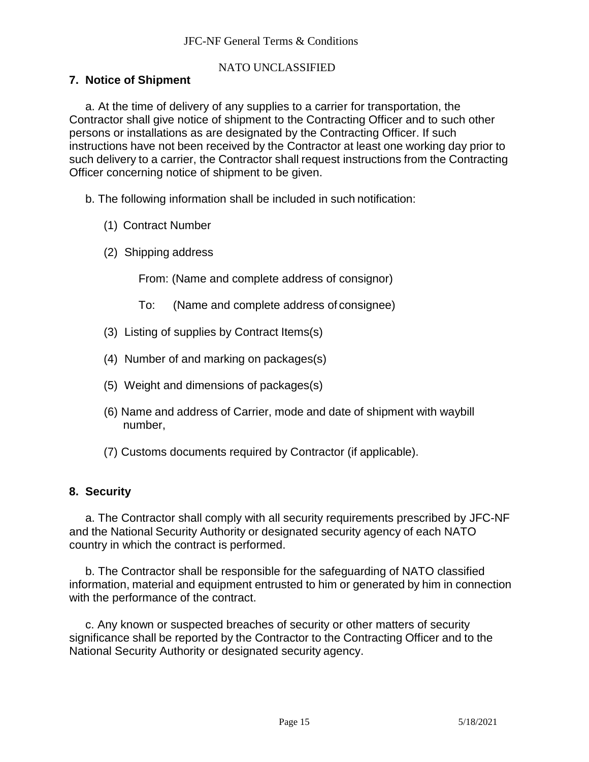## **7. Notice of Shipment**

a. At the time of delivery of any supplies to a carrier for transportation, the Contractor shall give notice of shipment to the Contracting Officer and to such other persons or installations as are designated by the Contracting Officer. If such instructions have not been received by the Contractor at least one working day prior to such delivery to a carrier, the Contractor shall request instructions from the Contracting Officer concerning notice of shipment to be given.

- b. The following information shall be included in such notification:
	- (1) Contract Number
	- (2) Shipping address

From: (Name and complete address of consignor)

- To: (Name and complete address of consignee)
- (3) Listing of supplies by Contract Items(s)
- (4) Number of and marking on packages(s)
- (5) Weight and dimensions of packages(s)
- (6) Name and address of Carrier, mode and date of shipment with waybill number,
- (7) Customs documents required by Contractor (if applicable).

# **8. Security**

a. The Contractor shall comply with all security requirements prescribed by JFC-NF and the National Security Authority or designated security agency of each NATO country in which the contract is performed.

b. The Contractor shall be responsible for the safeguarding of NATO classified information, material and equipment entrusted to him or generated by him in connection with the performance of the contract.

c. Any known or suspected breaches of security or other matters of security significance shall be reported by the Contractor to the Contracting Officer and to the National Security Authority or designated security agency.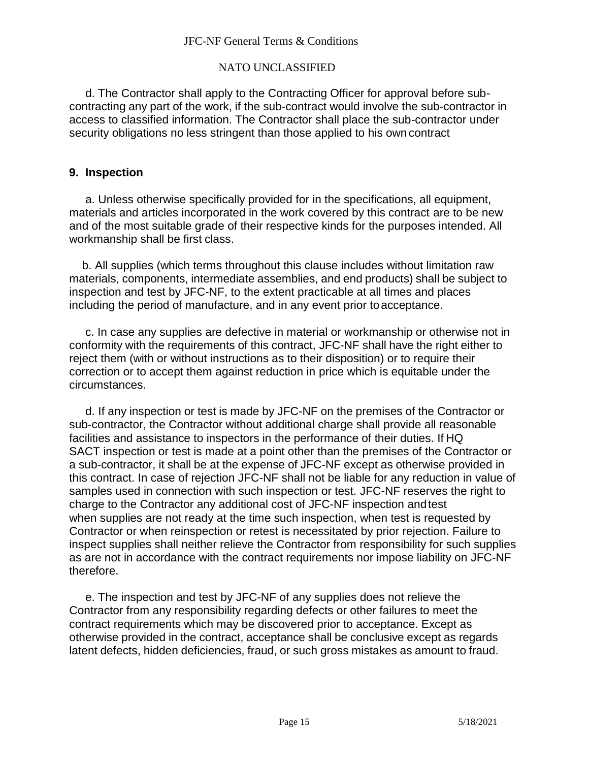### NATO UNCLASSIFIED

d. The Contractor shall apply to the Contracting Officer for approval before subcontracting any part of the work, if the sub-contract would involve the sub-contractor in access to classified information. The Contractor shall place the sub-contractor under security obligations no less stringent than those applied to his own contract

### **9. Inspection**

a. Unless otherwise specifically provided for in the specifications, all equipment, materials and articles incorporated in the work covered by this contract are to be new and of the most suitable grade of their respective kinds for the purposes intended. All workmanship shall be first class.

b. All supplies (which terms throughout this clause includes without limitation raw materials, components, intermediate assemblies, and end products) shall be subject to inspection and test by JFC-NF, to the extent practicable at all times and places including the period of manufacture, and in any event prior to acceptance.

c. In case any supplies are defective in material or workmanship or otherwise not in conformity with the requirements of this contract, JFC-NF shall have the right either to reject them (with or without instructions as to their disposition) or to require their correction or to accept them against reduction in price which is equitable under the circumstances.

d. If any inspection or test is made by JFC-NF on the premises of the Contractor or sub-contractor, the Contractor without additional charge shall provide all reasonable facilities and assistance to inspectors in the performance of their duties. If HQ SACT inspection or test is made at a point other than the premises of the Contractor or a sub-contractor, it shall be at the expense of JFC-NF except as otherwise provided in this contract. In case of rejection JFC-NF shall not be liable for any reduction in value of samples used in connection with such inspection or test. JFC-NF reserves the right to charge to the Contractor any additional cost of JFC-NF inspection andtest when supplies are not ready at the time such inspection, when test is requested by Contractor or when reinspection or retest is necessitated by prior rejection. Failure to inspect supplies shall neither relieve the Contractor from responsibility for such supplies as are not in accordance with the contract requirements nor impose liability on JFC-NF therefore.

e. The inspection and test by JFC-NF of any supplies does not relieve the Contractor from any responsibility regarding defects or other failures to meet the contract requirements which may be discovered prior to acceptance. Except as otherwise provided in the contract, acceptance shall be conclusive except as regards latent defects, hidden deficiencies, fraud, or such gross mistakes as amount to fraud.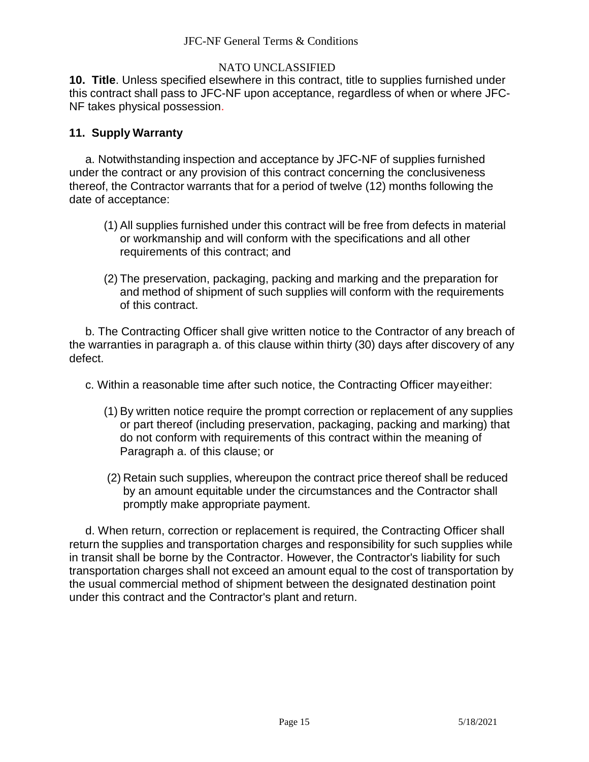**10. Title**. Unless specified elsewhere in this contract, title to supplies furnished under this contract shall pass to JFC-NF upon acceptance, regardless of when or where JFC-NF takes physical possession.

## **11. Supply Warranty**

a. Notwithstanding inspection and acceptance by JFC-NF of supplies furnished under the contract or any provision of this contract concerning the conclusiveness thereof, the Contractor warrants that for a period of twelve (12) months following the date of acceptance:

- (1) All supplies furnished under this contract will be free from defects in material or workmanship and will conform with the specifications and all other requirements of this contract; and
- (2) The preservation, packaging, packing and marking and the preparation for and method of shipment of such supplies will conform with the requirements of this contract.

b. The Contracting Officer shall give written notice to the Contractor of any breach of the warranties in paragraph a. of this clause within thirty (30) days after discovery of any defect.

c. Within a reasonable time after such notice, the Contracting Officer mayeither:

- (1) By written notice require the prompt correction or replacement of any supplies or part thereof (including preservation, packaging, packing and marking) that do not conform with requirements of this contract within the meaning of Paragraph a. of this clause; or
- (2) Retain such supplies, whereupon the contract price thereof shall be reduced by an amount equitable under the circumstances and the Contractor shall promptly make appropriate payment.

d. When return, correction or replacement is required, the Contracting Officer shall return the supplies and transportation charges and responsibility for such supplies while in transit shall be borne by the Contractor. However, the Contractor's liability for such transportation charges shall not exceed an amount equal to the cost of transportation by the usual commercial method of shipment between the designated destination point under this contract and the Contractor's plant and return.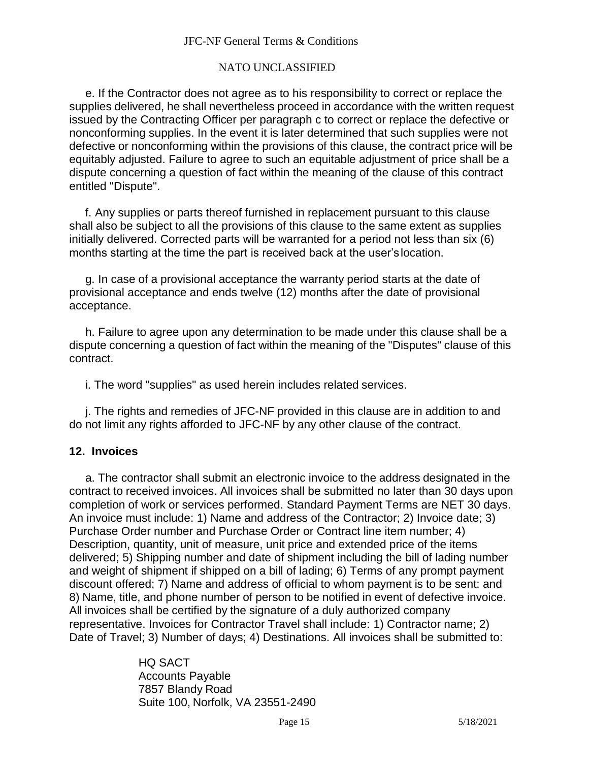### NATO UNCLASSIFIED

e. If the Contractor does not agree as to his responsibility to correct or replace the supplies delivered, he shall nevertheless proceed in accordance with the written request issued by the Contracting Officer per paragraph c to correct or replace the defective or nonconforming supplies. In the event it is later determined that such supplies were not defective or nonconforming within the provisions of this clause, the contract price will be equitably adjusted. Failure to agree to such an equitable adjustment of price shall be a dispute concerning a question of fact within the meaning of the clause of this contract entitled "Dispute".

f. Any supplies or parts thereof furnished in replacement pursuant to this clause shall also be subject to all the provisions of this clause to the same extent as supplies initially delivered. Corrected parts will be warranted for a period not less than six (6) months starting at the time the part is received back at the user'slocation.

g. In case of a provisional acceptance the warranty period starts at the date of provisional acceptance and ends twelve (12) months after the date of provisional acceptance.

h. Failure to agree upon any determination to be made under this clause shall be a dispute concerning a question of fact within the meaning of the "Disputes" clause of this contract.

i. The word "supplies" as used herein includes related services.

j. The rights and remedies of JFC-NF provided in this clause are in addition to and do not limit any rights afforded to JFC-NF by any other clause of the contract.

## **12. Invoices**

a. The contractor shall submit an electronic invoice to the address designated in the contract to received invoices. All invoices shall be submitted no later than 30 days upon completion of work or services performed. Standard Payment Terms are NET 30 days. An invoice must include: 1) Name and address of the Contractor; 2) Invoice date; 3) Purchase Order number and Purchase Order or Contract line item number; 4) Description, quantity, unit of measure, unit price and extended price of the items delivered; 5) Shipping number and date of shipment including the bill of lading number and weight of shipment if shipped on a bill of lading; 6) Terms of any prompt payment discount offered; 7) Name and address of official to whom payment is to be sent: and 8) Name, title, and phone number of person to be notified in event of defective invoice. All invoices shall be certified by the signature of a duly authorized company representative. Invoices for Contractor Travel shall include: 1) Contractor name; 2) Date of Travel; 3) Number of days; 4) Destinations. All invoices shall be submitted to:

> HQ SACT Accounts Payable 7857 Blandy Road Suite 100, Norfolk, VA 23551-2490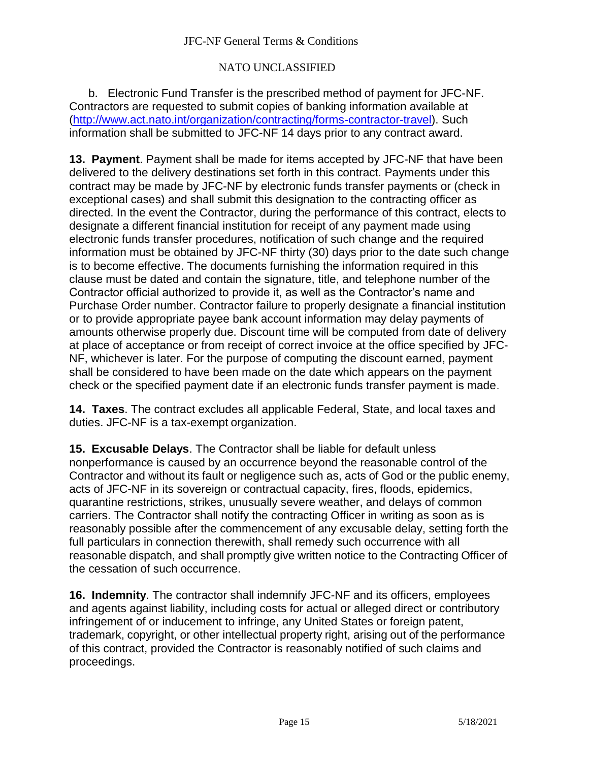## NATO UNCLASSIFIED

b. Electronic Fund Transfer is the prescribed method of payment for JFC-NF. Contractors are requested to submit copies of banking information available at [\(http://www.act.nato.int/organization/contracting/forms-contractor-travel\)](http://www.act.nato.int/organization/contracting/forms-contractor-travel). Such information shall be submitted to JFC-NF 14 days prior to any contract award.

**13. Payment**. Payment shall be made for items accepted by JFC-NF that have been delivered to the delivery destinations set forth in this contract. Payments under this contract may be made by JFC-NF by electronic funds transfer payments or (check in exceptional cases) and shall submit this designation to the contracting officer as directed. In the event the Contractor, during the performance of this contract, elects to designate a different financial institution for receipt of any payment made using electronic funds transfer procedures, notification of such change and the required information must be obtained by JFC-NF thirty (30) days prior to the date such change is to become effective. The documents furnishing the information required in this clause must be dated and contain the signature, title, and telephone number of the Contractor official authorized to provide it, as well as the Contractor's name and Purchase Order number. Contractor failure to properly designate a financial institution or to provide appropriate payee bank account information may delay payments of amounts otherwise properly due. Discount time will be computed from date of delivery at place of acceptance or from receipt of correct invoice at the office specified by JFC-NF, whichever is later. For the purpose of computing the discount earned, payment shall be considered to have been made on the date which appears on the payment check or the specified payment date if an electronic funds transfer payment is made.

**14. Taxes**. The contract excludes all applicable Federal, State, and local taxes and duties. JFC-NF is a tax-exempt organization.

**15. Excusable Delays**. The Contractor shall be liable for default unless nonperformance is caused by an occurrence beyond the reasonable control of the Contractor and without its fault or negligence such as, acts of God or the public enemy, acts of JFC-NF in its sovereign or contractual capacity, fires, floods, epidemics, quarantine restrictions, strikes, unusually severe weather, and delays of common carriers. The Contractor shall notify the contracting Officer in writing as soon as is reasonably possible after the commencement of any excusable delay, setting forth the full particulars in connection therewith, shall remedy such occurrence with all reasonable dispatch, and shall promptly give written notice to the Contracting Officer of the cessation of such occurrence.

**16. Indemnity**. The contractor shall indemnify JFC-NF and its officers, employees and agents against liability, including costs for actual or alleged direct or contributory infringement of or inducement to infringe, any United States or foreign patent, trademark, copyright, or other intellectual property right, arising out of the performance of this contract, provided the Contractor is reasonably notified of such claims and proceedings.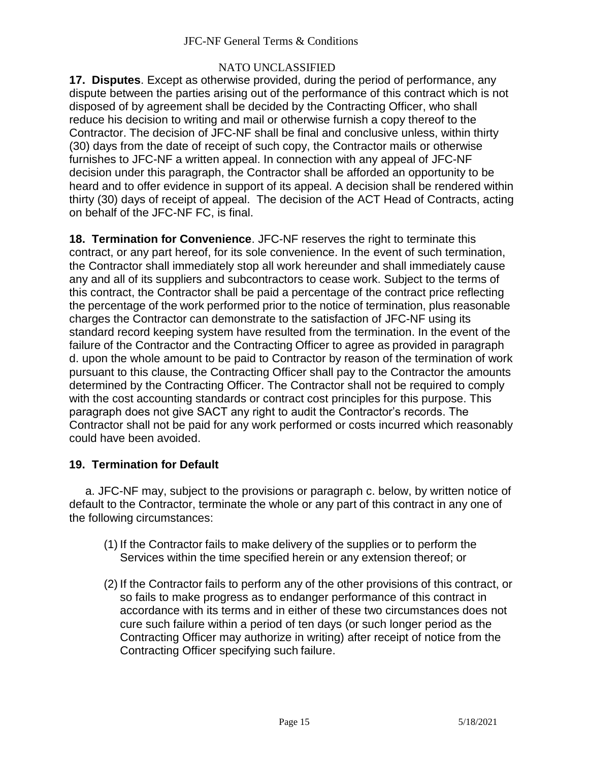## NATO UNCLASSIFIED

**17. Disputes**. Except as otherwise provided, during the period of performance, any dispute between the parties arising out of the performance of this contract which is not disposed of by agreement shall be decided by the Contracting Officer, who shall reduce his decision to writing and mail or otherwise furnish a copy thereof to the Contractor. The decision of JFC-NF shall be final and conclusive unless, within thirty (30) days from the date of receipt of such copy, the Contractor mails or otherwise furnishes to JFC-NF a written appeal. In connection with any appeal of JFC-NF decision under this paragraph, the Contractor shall be afforded an opportunity to be heard and to offer evidence in support of its appeal. A decision shall be rendered within thirty (30) days of receipt of appeal. The decision of the ACT Head of Contracts, acting on behalf of the JFC-NF FC, is final.

**18. Termination for Convenience**. JFC-NF reserves the right to terminate this contract, or any part hereof, for its sole convenience. In the event of such termination, the Contractor shall immediately stop all work hereunder and shall immediately cause any and all of its suppliers and subcontractors to cease work. Subject to the terms of this contract, the Contractor shall be paid a percentage of the contract price reflecting the percentage of the work performed prior to the notice of termination, plus reasonable charges the Contractor can demonstrate to the satisfaction of JFC-NF using its standard record keeping system have resulted from the termination. In the event of the failure of the Contractor and the Contracting Officer to agree as provided in paragraph d. upon the whole amount to be paid to Contractor by reason of the termination of work pursuant to this clause, the Contracting Officer shall pay to the Contractor the amounts determined by the Contracting Officer. The Contractor shall not be required to comply with the cost accounting standards or contract cost principles for this purpose. This paragraph does not give SACT any right to audit the Contractor's records. The Contractor shall not be paid for any work performed or costs incurred which reasonably could have been avoided.

# **19. Termination for Default**

a. JFC-NF may, subject to the provisions or paragraph c. below, by written notice of default to the Contractor, terminate the whole or any part of this contract in any one of the following circumstances:

- (1) If the Contractor fails to make delivery of the supplies or to perform the Services within the time specified herein or any extension thereof; or
- (2) If the Contractor fails to perform any of the other provisions of this contract, or so fails to make progress as to endanger performance of this contract in accordance with its terms and in either of these two circumstances does not cure such failure within a period of ten days (or such longer period as the Contracting Officer may authorize in writing) after receipt of notice from the Contracting Officer specifying such failure.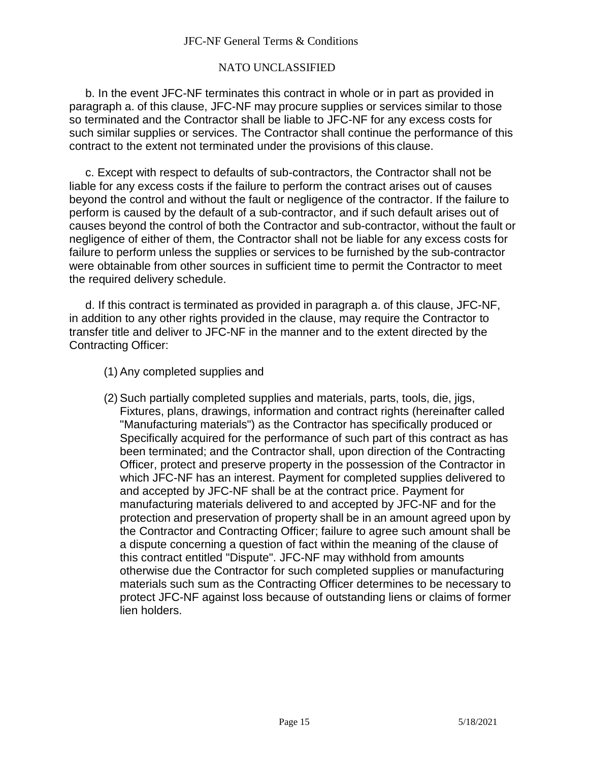### NATO UNCLASSIFIED

b. In the event JFC-NF terminates this contract in whole or in part as provided in paragraph a. of this clause, JFC-NF may procure supplies or services similar to those so terminated and the Contractor shall be liable to JFC-NF for any excess costs for such similar supplies or services. The Contractor shall continue the performance of this contract to the extent not terminated under the provisions of this clause.

c. Except with respect to defaults of sub-contractors, the Contractor shall not be liable for any excess costs if the failure to perform the contract arises out of causes beyond the control and without the fault or negligence of the contractor. If the failure to perform is caused by the default of a sub-contractor, and if such default arises out of causes beyond the control of both the Contractor and sub-contractor, without the fault or negligence of either of them, the Contractor shall not be liable for any excess costs for failure to perform unless the supplies or services to be furnished by the sub-contractor were obtainable from other sources in sufficient time to permit the Contractor to meet the required delivery schedule.

d. If this contract is terminated as provided in paragraph a. of this clause, JFC-NF, in addition to any other rights provided in the clause, may require the Contractor to transfer title and deliver to JFC-NF in the manner and to the extent directed by the Contracting Officer:

- (1) Any completed supplies and
- (2) Such partially completed supplies and materials, parts, tools, die, jigs, Fixtures, plans, drawings, information and contract rights (hereinafter called "Manufacturing materials") as the Contractor has specifically produced or Specifically acquired for the performance of such part of this contract as has been terminated; and the Contractor shall, upon direction of the Contracting Officer, protect and preserve property in the possession of the Contractor in which JFC-NF has an interest. Payment for completed supplies delivered to and accepted by JFC-NF shall be at the contract price. Payment for manufacturing materials delivered to and accepted by JFC-NF and for the protection and preservation of property shall be in an amount agreed upon by the Contractor and Contracting Officer; failure to agree such amount shall be a dispute concerning a question of fact within the meaning of the clause of this contract entitled "Dispute". JFC-NF may withhold from amounts otherwise due the Contractor for such completed supplies or manufacturing materials such sum as the Contracting Officer determines to be necessary to protect JFC-NF against loss because of outstanding liens or claims of former lien holders.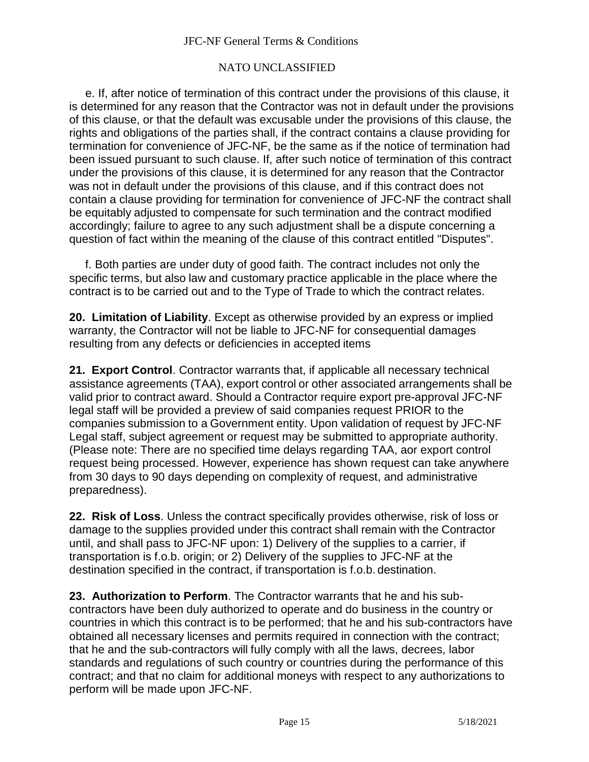### NATO UNCLASSIFIED

e. If, after notice of termination of this contract under the provisions of this clause, it is determined for any reason that the Contractor was not in default under the provisions of this clause, or that the default was excusable under the provisions of this clause, the rights and obligations of the parties shall, if the contract contains a clause providing for termination for convenience of JFC-NF, be the same as if the notice of termination had been issued pursuant to such clause. If, after such notice of termination of this contract under the provisions of this clause, it is determined for any reason that the Contractor was not in default under the provisions of this clause, and if this contract does not contain a clause providing for termination for convenience of JFC-NF the contract shall be equitably adjusted to compensate for such termination and the contract modified accordingly; failure to agree to any such adjustment shall be a dispute concerning a question of fact within the meaning of the clause of this contract entitled "Disputes".

f. Both parties are under duty of good faith. The contract includes not only the specific terms, but also law and customary practice applicable in the place where the contract is to be carried out and to the Type of Trade to which the contract relates.

**20. Limitation of Liability**. Except as otherwise provided by an express or implied warranty, the Contractor will not be liable to JFC-NF for consequential damages resulting from any defects or deficiencies in accepted items

**21. Export Control**. Contractor warrants that, if applicable all necessary technical assistance agreements (TAA), export control or other associated arrangements shall be valid prior to contract award. Should a Contractor require export pre-approval JFC-NF legal staff will be provided a preview of said companies request PRIOR to the companies submission to a Government entity. Upon validation of request by JFC-NF Legal staff, subject agreement or request may be submitted to appropriate authority. (Please note: There are no specified time delays regarding TAA, aor export control request being processed. However, experience has shown request can take anywhere from 30 days to 90 days depending on complexity of request, and administrative preparedness).

**22. Risk of Loss**. Unless the contract specifically provides otherwise, risk of loss or damage to the supplies provided under this contract shall remain with the Contractor until, and shall pass to JFC-NF upon: 1) Delivery of the supplies to a carrier, if transportation is f.o.b. origin; or 2) Delivery of the supplies to JFC-NF at the destination specified in the contract, if transportation is f.o.b. destination.

**23. Authorization to Perform**. The Contractor warrants that he and his subcontractors have been duly authorized to operate and do business in the country or countries in which this contract is to be performed; that he and his sub-contractors have obtained all necessary licenses and permits required in connection with the contract; that he and the sub-contractors will fully comply with all the laws, decrees, labor standards and regulations of such country or countries during the performance of this contract; and that no claim for additional moneys with respect to any authorizations to perform will be made upon JFC-NF.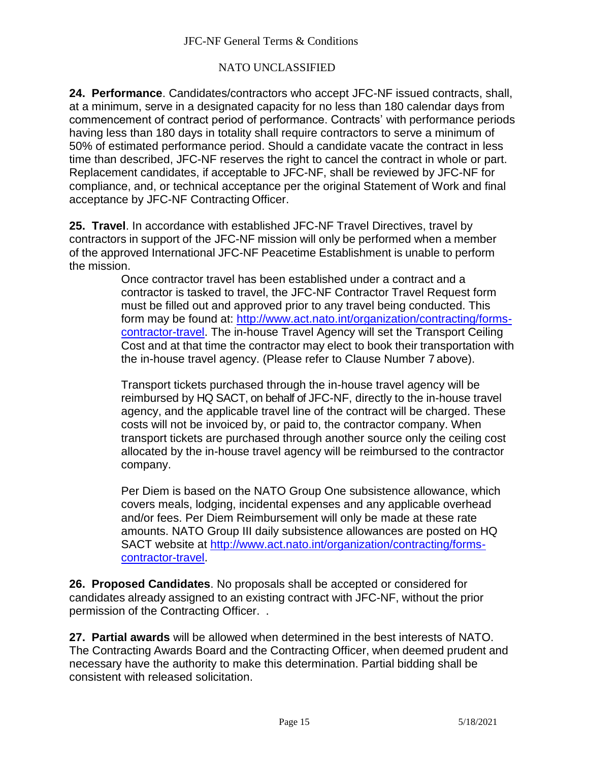## NATO UNCLASSIFIED

**24. Performance**. Candidates/contractors who accept JFC-NF issued contracts, shall, at a minimum, serve in a designated capacity for no less than 180 calendar days from commencement of contract period of performance. Contracts' with performance periods having less than 180 days in totality shall require contractors to serve a minimum of 50% of estimated performance period. Should a candidate vacate the contract in less time than described, JFC-NF reserves the right to cancel the contract in whole or part. Replacement candidates, if acceptable to JFC-NF, shall be reviewed by JFC-NF for compliance, and, or technical acceptance per the original Statement of Work and final acceptance by JFC-NF Contracting Officer.

**25. Travel**. In accordance with established JFC-NF Travel Directives, travel by contractors in support of the JFC-NF mission will only be performed when a member of the approved International JFC-NF Peacetime Establishment is unable to perform the mission.

> Once contractor travel has been established under a contract and a contractor is tasked to travel, the JFC-NF Contractor Travel Request form must be filled out and approved prior to any travel being conducted. This form may be found at: [http://www.act.nato.int/organization/contracting/forms](http://www.act.nato.int/organization/contracting/forms-contractor-travel)[contractor-travel.](http://www.act.nato.int/organization/contracting/forms-contractor-travel) The in-house Travel Agency will set the Transport Ceiling Cost and at that time the contractor may elect to book their transportation with the in-house travel agency. (Please refer to Clause Number 7 above).

Transport tickets purchased through the in-house travel agency will be reimbursed by HQ SACT, on behalf of JFC-NF, directly to the in-house travel agency, and the applicable travel line of the contract will be charged. These costs will not be invoiced by, or paid to, the contractor company. When transport tickets are purchased through another source only the ceiling cost allocated by the in-house travel agency will be reimbursed to the contractor company.

Per Diem is based on the NATO Group One subsistence allowance, which covers meals, lodging, incidental expenses and any applicable overhead and/or fees. Per Diem Reimbursement will only be made at these rate amounts. NATO Group III daily subsistence allowances are posted on HQ SACT website at [http://www.act.nato.int/organization/contracting/forms](http://www.act.nato.int/organization/contracting/forms-contractor-travel)[contractor-travel.](http://www.act.nato.int/organization/contracting/forms-contractor-travel)

**26. Proposed Candidates**. No proposals shall be accepted or considered for candidates already assigned to an existing contract with JFC-NF, without the prior permission of the Contracting Officer. .

**27. Partial awards** will be allowed when determined in the best interests of NATO. The Contracting Awards Board and the Contracting Officer, when deemed prudent and necessary have the authority to make this determination. Partial bidding shall be consistent with released solicitation.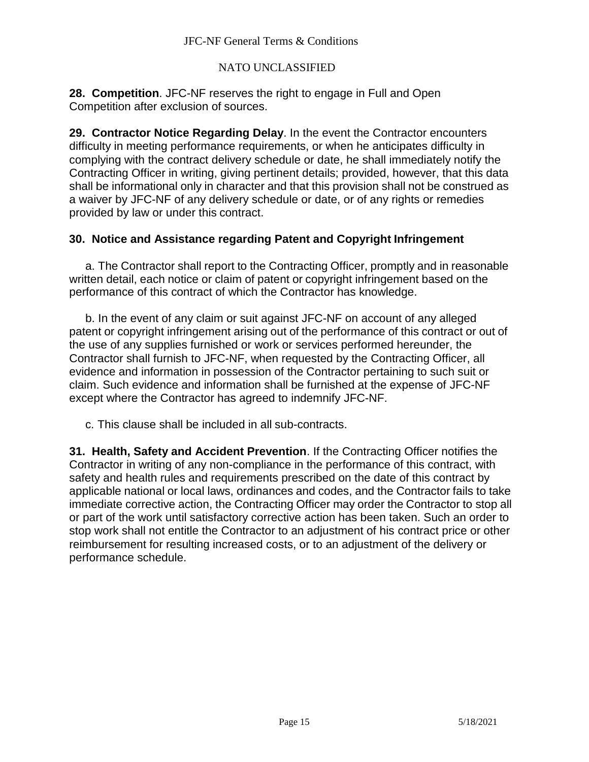### NATO UNCLASSIFIED

**28. Competition**. JFC-NF reserves the right to engage in Full and Open Competition after exclusion of sources.

**29. Contractor Notice Regarding Delay**. In the event the Contractor encounters difficulty in meeting performance requirements, or when he anticipates difficulty in complying with the contract delivery schedule or date, he shall immediately notify the Contracting Officer in writing, giving pertinent details; provided, however, that this data shall be informational only in character and that this provision shall not be construed as a waiver by JFC-NF of any delivery schedule or date, or of any rights or remedies provided by law or under this contract.

## **30. Notice and Assistance regarding Patent and Copyright Infringement**

a. The Contractor shall report to the Contracting Officer, promptly and in reasonable written detail, each notice or claim of patent or copyright infringement based on the performance of this contract of which the Contractor has knowledge.

b. In the event of any claim or suit against JFC-NF on account of any alleged patent or copyright infringement arising out of the performance of this contract or out of the use of any supplies furnished or work or services performed hereunder, the Contractor shall furnish to JFC-NF, when requested by the Contracting Officer, all evidence and information in possession of the Contractor pertaining to such suit or claim. Such evidence and information shall be furnished at the expense of JFC-NF except where the Contractor has agreed to indemnify JFC-NF.

c. This clause shall be included in all sub-contracts.

**31. Health, Safety and Accident Prevention**. If the Contracting Officer notifies the Contractor in writing of any non-compliance in the performance of this contract, with safety and health rules and requirements prescribed on the date of this contract by applicable national or local laws, ordinances and codes, and the Contractor fails to take immediate corrective action, the Contracting Officer may order the Contractor to stop all or part of the work until satisfactory corrective action has been taken. Such an order to stop work shall not entitle the Contractor to an adjustment of his contract price or other reimbursement for resulting increased costs, or to an adjustment of the delivery or performance schedule.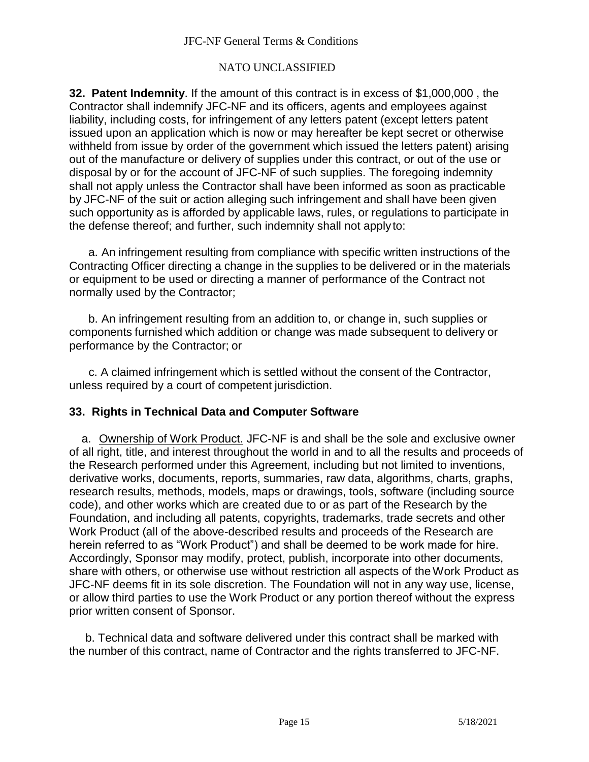### NATO UNCLASSIFIED

**32. Patent Indemnity**. If the amount of this contract is in excess of \$1,000,000 , the Contractor shall indemnify JFC-NF and its officers, agents and employees against liability, including costs, for infringement of any letters patent (except letters patent issued upon an application which is now or may hereafter be kept secret or otherwise withheld from issue by order of the government which issued the letters patent) arising out of the manufacture or delivery of supplies under this contract, or out of the use or disposal by or for the account of JFC-NF of such supplies. The foregoing indemnity shall not apply unless the Contractor shall have been informed as soon as practicable by JFC-NF of the suit or action alleging such infringement and shall have been given such opportunity as is afforded by applicable laws, rules, or regulations to participate in the defense thereof; and further, such indemnity shall not applyto:

a. An infringement resulting from compliance with specific written instructions of the Contracting Officer directing a change in the supplies to be delivered or in the materials or equipment to be used or directing a manner of performance of the Contract not normally used by the Contractor;

b. An infringement resulting from an addition to, or change in, such supplies or components furnished which addition or change was made subsequent to delivery or performance by the Contractor; or

c. A claimed infringement which is settled without the consent of the Contractor, unless required by a court of competent jurisdiction.

## **33. Rights in Technical Data and Computer Software**

a. Ownership of Work Product. JFC-NF is and shall be the sole and exclusive owner of all right, title, and interest throughout the world in and to all the results and proceeds of the Research performed under this Agreement, including but not limited to inventions, derivative works, documents, reports, summaries, raw data, algorithms, charts, graphs, research results, methods, models, maps or drawings, tools, software (including source code), and other works which are created due to or as part of the Research by the Foundation, and including all patents, copyrights, trademarks, trade secrets and other Work Product (all of the above-described results and proceeds of the Research are herein referred to as "Work Product") and shall be deemed to be work made for hire. Accordingly, Sponsor may modify, protect, publish, incorporate into other documents, share with others, or otherwise use without restriction all aspects of the Work Product as JFC-NF deems fit in its sole discretion. The Foundation will not in any way use, license, or allow third parties to use the Work Product or any portion thereof without the express prior written consent of Sponsor.

b. Technical data and software delivered under this contract shall be marked with the number of this contract, name of Contractor and the rights transferred to JFC-NF.